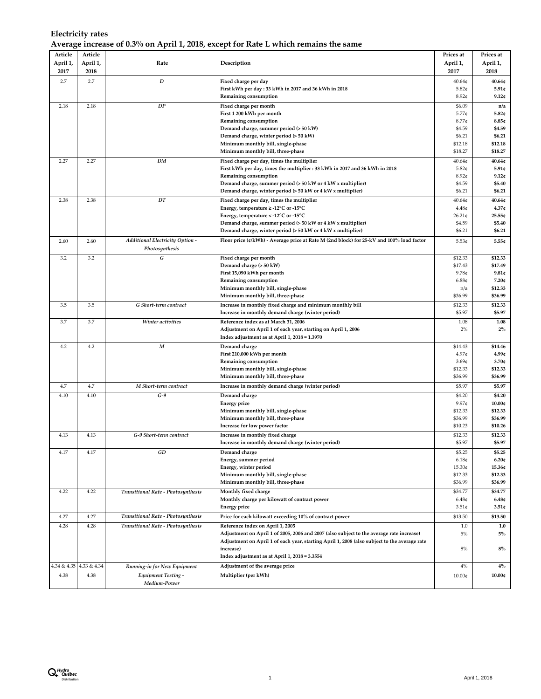## **Electricity rates Average increase of 0.3% on April 1, 2018, except for Rate L which remains the same**

| Article<br>April 1, | Article<br>April 1, | Rate                                              | Description                                                                                                    | Prices at<br>April 1,       | Prices at<br>April 1,    |
|---------------------|---------------------|---------------------------------------------------|----------------------------------------------------------------------------------------------------------------|-----------------------------|--------------------------|
| 2017                | 2018                |                                                   |                                                                                                                | 2017                        | 2018                     |
| 2.7                 | 2.7                 | $\boldsymbol{D}$                                  | Fixed charge per day<br>First kWh per day: 33 kWh in 2017 and 36 kWh in 2018<br>Remaining consumption          | 40.64c<br>5.82c<br>$8.92$ ¢ | 40.64¢<br>5.91c<br>9.12c |
| 2.18                | 2.18                | DP                                                | Fixed charge per month                                                                                         | \$6.09                      | n/a                      |
|                     |                     |                                                   | First 1 200 kWh per month                                                                                      | 5.77c                       | 5.82c                    |
|                     |                     |                                                   | Remaining consumption                                                                                          | $8.77$ ¢                    | 8.85c                    |
|                     |                     |                                                   | Demand charge, summer period (> 50 kW)<br>Demand charge, winter period (> 50 kW)                               | \$4.59<br>\$6.21            | \$4.59<br>\$6.21         |
|                     |                     |                                                   | Minimum monthly bill, single-phase                                                                             | \$12.18                     | \$12.18                  |
|                     |                     |                                                   | Minimum monthly bill, three-phase                                                                              | \$18.27                     | \$18.27                  |
| 2.27                | 2.27                | DM                                                | Fixed charge per day, times the multiplier                                                                     | 40.64c                      | 40.64c                   |
|                     |                     |                                                   | First kWh per day, times the multiplier : 33 kWh in 2017 and 36 kWh in 2018                                    | 5.82c                       | 5.91c                    |
|                     |                     |                                                   | Remaining consumption                                                                                          | $8.92$ ¢                    | 9.12c                    |
|                     |                     |                                                   | Demand charge, summer period (> 50 kW or 4 kW x multiplier)                                                    | \$4.59<br>\$6.21            | \$5.40                   |
|                     |                     |                                                   | Demand charge, winter period $(> 50 \text{ kW or } 4 \text{ kW x multiplier})$                                 |                             | \$6.21                   |
| 2.38                | 2.38                | DT                                                | Fixed charge per day, times the multiplier<br>Energy, temperature $\geq$ -12°C or -15°C                        | 40.64c<br>4.48 <sub>¢</sub> | 40.64¢<br>4.37c          |
|                     |                     |                                                   | Energy, temperature < -12 $^{\circ}$ C or -15 $^{\circ}$ C                                                     | $26.21$ ¢                   | 25.55¢                   |
|                     |                     |                                                   | Demand charge, summer period (> 50 kW or 4 kW x multiplier)                                                    | \$4.59                      | \$5.40                   |
|                     |                     |                                                   | Demand charge, winter period $(> 50 \text{ kW or } 4 \text{ kW x multiplier})$                                 | \$6.21                      | \$6.21                   |
| 2.60                | 2.60                | Additional Electricity Option -<br>Photosynthesis | Floor price (¢/kWh) - Average price at Rate M (2nd block) for 25-kV and 100% load factor                       | 5.53¢                       | 5.55c                    |
| 3.2                 | 3.2                 | G                                                 | Fixed charge per month                                                                                         | \$12.33                     | \$12.33                  |
|                     |                     |                                                   | Demand charge (> 50 kW)                                                                                        | \$17.43                     | \$17.49                  |
|                     |                     |                                                   | First 15,090 kWh per month                                                                                     | 9.78c                       | 9.81c                    |
|                     |                     |                                                   | Remaining consumption                                                                                          | 6.88c                       | 7.20c                    |
|                     |                     |                                                   | Minimum monthly bill, single-phase                                                                             | n/a                         | \$12.33                  |
|                     |                     |                                                   | Minimum monthly bill, three-phase                                                                              | \$36.99                     | \$36.99                  |
| 3.5                 | 3.5                 | G Short-term contract                             | Increase in monthly fixed charge and minimum monthly bill                                                      | \$12.33<br>\$5.97           | \$12.33                  |
|                     |                     |                                                   | Increase in monthly demand charge (winter period)                                                              |                             | \$5.97                   |
| 3.7                 | 3.7                 | Winter activities                                 | Reference index as at March 31, 2006                                                                           | 1.08<br>2%                  | 1.08<br>$2\%$            |
|                     |                     |                                                   | Adjustment on April 1 of each year, starting on April 1, 2006<br>Index adjustment as at April 1, 2018 = 1.3970 |                             |                          |
| 4.2                 | 4.2                 | $\boldsymbol{M}$                                  | Demand charge                                                                                                  | \$14.43                     | \$14.46                  |
|                     |                     |                                                   | First 210,000 kWh per month                                                                                    | 4.97¢                       | 4.99c                    |
|                     |                     |                                                   | Remaining consumption                                                                                          | 3.69 <sub>¢</sub>           | 3.70c                    |
|                     |                     |                                                   | Minimum monthly bill, single-phase                                                                             | \$12.33                     | \$12.33                  |
|                     |                     |                                                   | Minimum monthly bill, three-phase                                                                              | \$36.99                     | \$36.99                  |
| 4.7                 | 4.7                 | M Short-term contract                             | Increase in monthly demand charge (winter period)                                                              | \$5.97                      | \$5.97                   |
| 4.10                | 4.10                | $G-9$                                             | Demand charge                                                                                                  | \$4.20                      | \$4.20                   |
|                     |                     |                                                   | <b>Energy price</b>                                                                                            | 9.97c                       | 10.00c                   |
|                     |                     |                                                   | Minimum monthly bill, single-phase                                                                             | \$12.33                     | \$12.33                  |
|                     |                     |                                                   | Minimum monthly bill, three-phase                                                                              | \$36.99<br>\$10.23          | \$36.99<br>\$10.26       |
|                     |                     | G-9 Short-term contract                           | Increase for low power factor                                                                                  |                             |                          |
| 4.13                | 4.13                |                                                   | Increase in monthly fixed charge<br>Increase in monthly demand charge (winter period)                          | \$12.33<br>\$5.97           | \$12.33<br>\$5.97        |
| 4.17                | 4.17                | GD                                                | Demand charge                                                                                                  | \$5.25                      | \$5.25                   |
|                     |                     |                                                   | Energy, summer period                                                                                          | 6.18 <sub>¢</sub>           | 6.20c                    |
|                     |                     |                                                   | Energy, winter period                                                                                          | 15.30¢                      | 15.36¢                   |
|                     |                     |                                                   | Minimum monthly bill, single-phase                                                                             | \$12.33                     | \$12.33                  |
|                     |                     |                                                   | Minimum monthly bill, three-phase                                                                              | \$36.99                     | \$36.99                  |
| 4.22                | 4.22                | <b>Transitional Rate - Photosynthesis</b>         | Monthly fixed charge                                                                                           | \$34.77                     | \$34.77                  |
|                     |                     |                                                   | Monthly charge per kilowatt of contract power                                                                  | 6.48 <sub>¢</sub>           | 6.48c                    |
|                     |                     |                                                   | <b>Energy</b> price                                                                                            | 3.51c                       | 3.51c                    |
| 4.27                | 4.27                | Transitional Rate - Photosynthesis                | Price for each kilowatt exceeding 10% of contract power                                                        | \$13.50                     | \$13.50                  |
| 4.28                | 4.28                | Transitional Rate - Photosynthesis                | Reference index on April 1, 2005                                                                               | $1.0$                       | 1.0                      |
|                     |                     |                                                   | Adjustment on April 1 of 2005, 2006 and 2007 (also subject to the average rate increase)                       | $5\%$                       | 5%                       |
|                     |                     |                                                   | Adjustment on April 1 of each year, starting April 1, 2008 (also subject to the average rate                   |                             |                          |
|                     |                     |                                                   | increase)<br>Index adjustment as at April 1, 2018 = 3.3554                                                     | $8\%$                       | 8%                       |
|                     |                     |                                                   |                                                                                                                |                             |                          |
| 4.34 & 4.35         | 4.33 & 4.34         | Running-in for New Equipment                      | Adjustment of the average price                                                                                | $4\%$                       | $4\%$                    |
| 4.38                | 4.38                | <b>Equipment Testing -</b><br>Medium-Power        | Multiplier (per kWh)                                                                                           | 10.00¢                      | 10.00c                   |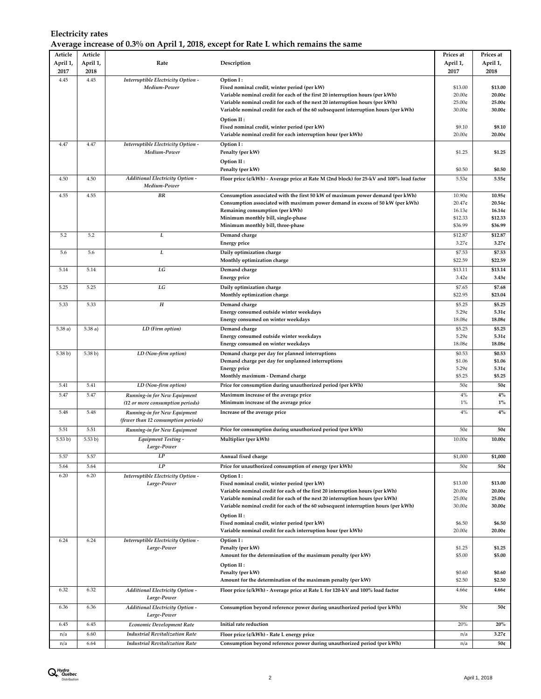## **Electricity rates Average increase of 0.3% on April 1, 2018, except for Rate L which remains the same**

| Article      | Article      |                                                                  |                                                                                                                                                                    | Prices at                   | Prices at          |
|--------------|--------------|------------------------------------------------------------------|--------------------------------------------------------------------------------------------------------------------------------------------------------------------|-----------------------------|--------------------|
| April 1,     | April 1,     | Rate                                                             | Description                                                                                                                                                        | April 1,                    | April 1,           |
| 2017<br>4.45 | 2018<br>4.45 | Interruptible Electricity Option -                               | Option I:                                                                                                                                                          | 2017                        | 2018               |
|              |              | Medium-Power                                                     | Fixed nominal credit, winter period (per kW)                                                                                                                       | \$13.00                     | \$13.00            |
|              |              |                                                                  | Variable nominal credit for each of the first 20 interruption hours (per kWh)                                                                                      | 20.00¢<br>25.00¢            | 20.00c<br>25.00c   |
|              |              |                                                                  | Variable nominal credit for each of the next 20 interruption hours (per kWh)<br>Variable nominal credit for each of the 60 subsequent interruption hours (per kWh) | 30.00¢                      | 30.00c             |
|              |              |                                                                  | Option II :                                                                                                                                                        |                             |                    |
|              |              |                                                                  | Fixed nominal credit, winter period (per kW)                                                                                                                       | \$9.10                      | \$9.10             |
|              |              |                                                                  | Variable nominal credit for each interruption hour (per kWh)                                                                                                       | 20.00¢                      | 20.00c             |
| 4.47         | 4.47         | Interruptible Electricity Option -<br>Medium-Power               | Option I:<br>Penalty (per kW)                                                                                                                                      | \$1.25                      | \$1.25             |
|              |              |                                                                  | Option II:                                                                                                                                                         |                             |                    |
|              |              |                                                                  | Penalty (per kW)                                                                                                                                                   | \$0.50                      | \$0.50             |
| 4.50         | 4.50         | <b>Additional Electricity Option -</b>                           | Floor price (¢/kWh) - Average price at Rate M (2nd block) for 25-kV and 100% load factor                                                                           | 5.53¢                       | 5.55c              |
|              |              | Medium-Power                                                     |                                                                                                                                                                    |                             |                    |
| 4.55         | 4.55         | <b>BR</b>                                                        | Consumption associated with the first 50 kW of maximum power demand (per kWh)                                                                                      | 10.90¢                      | 10.95¢             |
|              |              |                                                                  | Consumption associated with maximum power demand in excess of 50 kW (per kWh)<br>Remaining consumption (per kWh)                                                   | 20.47¢<br>16.13¢            | 20.54c<br>16.14c   |
|              |              |                                                                  | Minimum monthly bill, single-phase                                                                                                                                 | \$12.33                     | \$12.33            |
|              |              |                                                                  | Minimum monthly bill, three-phase                                                                                                                                  | \$36.99                     | \$36.99            |
| 5.2          | 5.2          | L                                                                | Demand charge                                                                                                                                                      | \$12.87                     | \$12.87            |
|              |              |                                                                  | <b>Energy price</b>                                                                                                                                                | 3.27 <sub>¢</sub>           | 3.27c              |
| 5.6          | 5.6          | L                                                                | Daily optimization charge                                                                                                                                          | \$7.53                      | \$7.53             |
| 5.14         | 5.14         | LG                                                               | Monthly optimization charge<br>Demand charge                                                                                                                       | \$22.59<br>\$13.11          | \$22.59<br>\$13.14 |
|              |              |                                                                  | <b>Energy price</b>                                                                                                                                                | $3.42$ ¢                    | 3.43c              |
| 5.25         | 5.25         | LG                                                               | Daily optimization charge                                                                                                                                          | \$7.65                      | \$7.68             |
|              |              |                                                                  | Monthly optimization charge                                                                                                                                        | \$22.95                     | \$23.04            |
| 5.33         | 5.33         | $\boldsymbol{H}$                                                 | Demand charge                                                                                                                                                      | \$5.25                      | \$5.25             |
|              |              |                                                                  | Energy consumed outside winter weekdays                                                                                                                            | $5.29$ ¢                    | 5.31c              |
|              |              |                                                                  | <b>Energy consumed on winter weekdays</b>                                                                                                                          | 18.08¢                      | 18.08¢             |
| 5.38a)       | 5.38a)       | LD (Firm option)                                                 | Demand charge                                                                                                                                                      | \$5.25                      | \$5.25             |
|              |              |                                                                  | Energy consumed outside winter weekdays<br><b>Energy consumed on winter weekdays</b>                                                                               | 5.29 <sub>¢</sub><br>18.08¢ | 5.31c<br>18.08¢    |
| 5.38 b)      | 5.38 b)      | LD (Non-firm option)                                             | Demand charge per day for planned interruptions                                                                                                                    | \$0.53                      | \$0.53             |
|              |              |                                                                  | Demand charge per day for unplanned interruptions                                                                                                                  | \$1.06                      | \$1.06             |
|              |              |                                                                  | <b>Energy price</b>                                                                                                                                                | $5.29$ ¢                    | 5.31c              |
|              |              |                                                                  | Monthly maximum - Demand charge                                                                                                                                    | \$5.25                      | \$5.25             |
| 5.41         | 5.41         | LD (Non-firm option)                                             | Price for consumption during unauthorized period (per kWh)                                                                                                         | 50¢                         | 50¢                |
| 5.47         | 5.47         | Running-in for New Equipment<br>(12 or more consumption periods) | Maximum increase of the average price<br>Minimum increase of the average price                                                                                     | 4%<br>1%                    | $4\%$<br>$1\%$     |
| 5.48         | 5.48         | Running-in for New Equipment                                     | Increase of the average price                                                                                                                                      | 4%                          | $4\%$              |
|              |              | (fewer than 12 consumption periods)                              |                                                                                                                                                                    |                             |                    |
| 5.51         | 5.51         | Running-in for New Equipment                                     | Price for consumption during unauthorized period (per kWh)                                                                                                         | 50¢                         | 50c                |
| 5.53 b)      | 5.53 b)      | <b>Equipment Testing -</b>                                       | Multiplier (per kWh)                                                                                                                                               | 10.00¢                      | 10.00c             |
|              |              | Large-Power                                                      |                                                                                                                                                                    |                             |                    |
| 5.57         | 5.57         | LP                                                               | Annual fixed charge                                                                                                                                                | \$1,000                     | \$1,000            |
| 5.64         | 5.64         | LP                                                               | Price for unauthorized consumption of energy (per kWh)                                                                                                             | 50¢                         | 50¢                |
| 6.20         | 6.20         | Interruptible Electricity Option -                               | Option I:<br>Fixed nominal credit, winter period (per kW)                                                                                                          |                             |                    |
|              |              | Large-Power                                                      | Variable nominal credit for each of the first 20 interruption hours (per kWh)                                                                                      | \$13.00<br>20.00¢           | \$13.00<br>20.00c  |
|              |              |                                                                  | Variable nominal credit for each of the next 20 interruption hours (per kWh)                                                                                       | 25.00¢                      | 25.00c             |
|              |              |                                                                  | Variable nominal credit for each of the 60 subsequent interruption hours (per kWh)                                                                                 | 30.00¢                      | 30.00c             |
|              |              |                                                                  | Option II:                                                                                                                                                         |                             |                    |
|              |              |                                                                  | Fixed nominal credit, winter period (per kW)                                                                                                                       | \$6.50                      | \$6.50             |
|              |              |                                                                  | Variable nominal credit for each interruption hour (per kWh)                                                                                                       | 20.00¢                      | 20.00¢             |
| 6.24         | 6.24         | Interruptible Electricity Option -<br>Large-Power                | Option I:<br>Penalty (per kW)                                                                                                                                      | \$1.25                      | \$1.25             |
|              |              |                                                                  | Amount for the determination of the maximum penalty (per kW)                                                                                                       | \$5.00                      | \$5.00             |
|              |              |                                                                  | Option II:                                                                                                                                                         |                             |                    |
|              |              |                                                                  | Penalty (per kW)                                                                                                                                                   | \$0.60                      | \$0.60             |
|              |              |                                                                  | Amount for the determination of the maximum penalty (per kW)                                                                                                       | \$2.50                      | \$2.50             |
| 6.32         | 6.32         | <b>Additional Electricity Option -</b><br>Large-Power            | Floor price (¢/kWh) - Average price at Rate L for 120-kV and 100% load factor                                                                                      | 4.66 <sub>¢</sub>           | 4.66c              |
| 6.36         | 6.36         | <b>Additional Electricity Option -</b>                           | Consumption beyond reference power during unauthorized period (per kWh)                                                                                            | 50¢                         | 50¢                |
|              |              | Large-Power                                                      |                                                                                                                                                                    |                             |                    |
| 6.45         | 6.45         | <b>Economic Development Rate</b>                                 | Initial rate reduction                                                                                                                                             | 20%                         | 20%                |
| n/a          | 6.60         | <b>Industrial Revitalization Rate</b>                            | Floor price (¢/kWh) - Rate L energy price                                                                                                                          | n/a                         | 3.27c              |
| n/a          | 6.64         | <b>Industrial Revitalization Rate</b>                            | Consumption beyond reference power during unauthorized period (per kWh)                                                                                            | n/a                         | 50¢                |